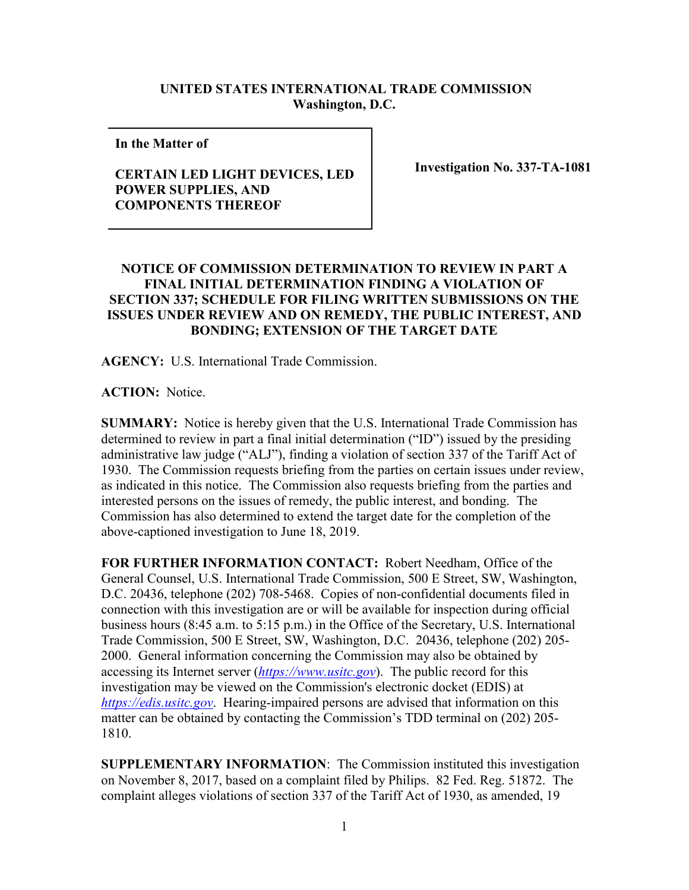## **UNITED STATES INTERNATIONAL TRADE COMMISSION Washington, D.C.**

**In the Matter of** 

## **CERTAIN LED LIGHT DEVICES, LED POWER SUPPLIES, AND COMPONENTS THEREOF**

**Investigation No. 337-TA-1081**

## **NOTICE OF COMMISSION DETERMINATION TO REVIEW IN PART A FINAL INITIAL DETERMINATION FINDING A VIOLATION OF SECTION 337; SCHEDULE FOR FILING WRITTEN SUBMISSIONS ON THE ISSUES UNDER REVIEW AND ON REMEDY, THE PUBLIC INTEREST, AND BONDING; EXTENSION OF THE TARGET DATE**

**AGENCY:** U.S. International Trade Commission.

**ACTION:** Notice.

**SUMMARY:** Notice is hereby given that the U.S. International Trade Commission has determined to review in part a final initial determination ("ID") issued by the presiding administrative law judge ("ALJ"), finding a violation of section 337 of the Tariff Act of 1930. The Commission requests briefing from the parties on certain issues under review, as indicated in this notice. The Commission also requests briefing from the parties and interested persons on the issues of remedy, the public interest, and bonding. The Commission has also determined to extend the target date for the completion of the above-captioned investigation to June 18, 2019.

**FOR FURTHER INFORMATION CONTACT:** Robert Needham, Office of the General Counsel, U.S. International Trade Commission, 500 E Street, SW, Washington, D.C. 20436, telephone (202) 708-5468. Copies of non-confidential documents filed in connection with this investigation are or will be available for inspection during official business hours (8:45 a.m. to 5:15 p.m.) in the Office of the Secretary, U.S. International Trade Commission, 500 E Street, SW, Washington, D.C. 20436, telephone (202) 205- 2000. General information concerning the Commission may also be obtained by accessing its Internet server (*[https://www.usitc.gov](https://www.usitc.gov/)*). The public record for this investigation may be viewed on the Commission's electronic docket (EDIS) at *[https://edis.usitc.gov](https://edis.usitc.gov/)*. Hearing-impaired persons are advised that information on this matter can be obtained by contacting the Commission's TDD terminal on (202) 205- 1810.

**SUPPLEMENTARY INFORMATION**: The Commission instituted this investigation on November 8, 2017, based on a complaint filed by Philips. 82 Fed. Reg. 51872. The complaint alleges violations of section 337 of the Tariff Act of 1930, as amended, 19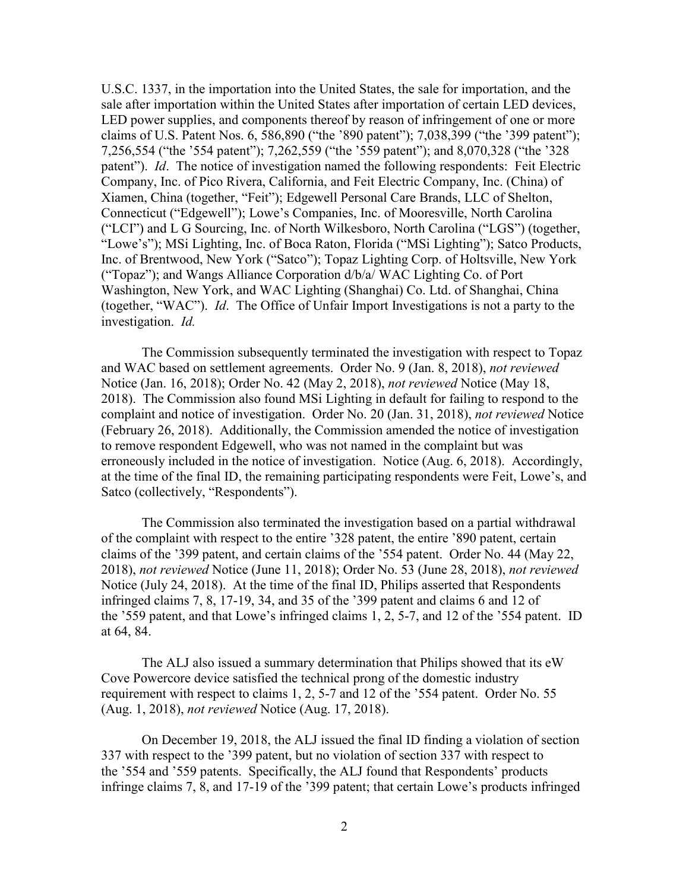U.S.C. 1337, in the importation into the United States, the sale for importation, and the sale after importation within the United States after importation of certain LED devices, LED power supplies, and components thereof by reason of infringement of one or more claims of U.S. Patent Nos. 6, 586,890 ("the '890 patent"); 7,038,399 ("the '399 patent"); 7,256,554 ("the '554 patent"); 7,262,559 ("the '559 patent"); and 8,070,328 ("the '328 patent"). *Id*. The notice of investigation named the following respondents: Feit Electric Company, Inc. of Pico Rivera, California, and Feit Electric Company, Inc. (China) of Xiamen, China (together, "Feit"); Edgewell Personal Care Brands, LLC of Shelton, Connecticut ("Edgewell"); Lowe's Companies, Inc. of Mooresville, North Carolina ("LCI") and L G Sourcing, Inc. of North Wilkesboro, North Carolina ("LGS") (together, "Lowe's"); MSi Lighting, Inc. of Boca Raton, Florida ("MSi Lighting"); Satco Products, Inc. of Brentwood, New York ("Satco"); Topaz Lighting Corp. of Holtsville, New York ("Topaz"); and Wangs Alliance Corporation d/b/a/ WAC Lighting Co. of Port Washington, New York, and WAC Lighting (Shanghai) Co. Ltd. of Shanghai, China (together, "WAC"). *Id*. The Office of Unfair Import Investigations is not a party to the investigation. *Id.* 

The Commission subsequently terminated the investigation with respect to Topaz and WAC based on settlement agreements. Order No. 9 (Jan. 8, 2018), *not reviewed* Notice (Jan. 16, 2018); Order No. 42 (May 2, 2018), *not reviewed* Notice (May 18, 2018). The Commission also found MSi Lighting in default for failing to respond to the complaint and notice of investigation. Order No. 20 (Jan. 31, 2018), *not reviewed* Notice (February 26, 2018). Additionally, the Commission amended the notice of investigation to remove respondent Edgewell, who was not named in the complaint but was erroneously included in the notice of investigation. Notice (Aug. 6, 2018). Accordingly, at the time of the final ID, the remaining participating respondents were Feit, Lowe's, and Satco (collectively, "Respondents").

The Commission also terminated the investigation based on a partial withdrawal of the complaint with respect to the entire '328 patent, the entire '890 patent, certain claims of the '399 patent, and certain claims of the '554 patent. Order No. 44 (May 22, 2018), *not reviewed* Notice (June 11, 2018); Order No. 53 (June 28, 2018), *not reviewed* Notice (July 24, 2018). At the time of the final ID, Philips asserted that Respondents infringed claims 7, 8, 17-19, 34, and 35 of the '399 patent and claims 6 and 12 of the '559 patent, and that Lowe's infringed claims 1, 2, 5-7, and 12 of the '554 patent. ID at 64, 84.

The ALJ also issued a summary determination that Philips showed that its eW Cove Powercore device satisfied the technical prong of the domestic industry requirement with respect to claims 1, 2, 5-7 and 12 of the '554 patent. Order No. 55 (Aug. 1, 2018), *not reviewed* Notice (Aug. 17, 2018).

On December 19, 2018, the ALJ issued the final ID finding a violation of section 337 with respect to the '399 patent, but no violation of section 337 with respect to the '554 and '559 patents. Specifically, the ALJ found that Respondents' products infringe claims 7, 8, and 17-19 of the '399 patent; that certain Lowe's products infringed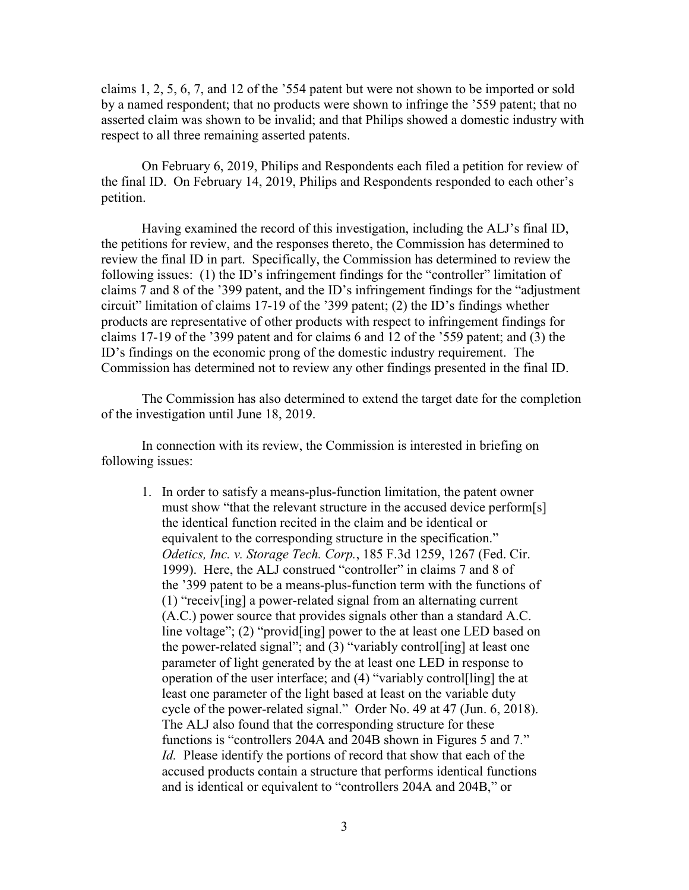claims 1, 2, 5, 6, 7, and 12 of the '554 patent but were not shown to be imported or sold by a named respondent; that no products were shown to infringe the '559 patent; that no asserted claim was shown to be invalid; and that Philips showed a domestic industry with respect to all three remaining asserted patents.

On February 6, 2019, Philips and Respondents each filed a petition for review of the final ID. On February 14, 2019, Philips and Respondents responded to each other's petition.

Having examined the record of this investigation, including the ALJ's final ID, the petitions for review, and the responses thereto, the Commission has determined to review the final ID in part. Specifically, the Commission has determined to review the following issues: (1) the ID's infringement findings for the "controller" limitation of claims 7 and 8 of the '399 patent, and the ID's infringement findings for the "adjustment circuit" limitation of claims 17-19 of the '399 patent; (2) the ID's findings whether products are representative of other products with respect to infringement findings for claims 17-19 of the '399 patent and for claims 6 and 12 of the '559 patent; and (3) the ID's findings on the economic prong of the domestic industry requirement. The Commission has determined not to review any other findings presented in the final ID.

The Commission has also determined to extend the target date for the completion of the investigation until June 18, 2019.

In connection with its review, the Commission is interested in briefing on following issues:

1. In order to satisfy a means-plus-function limitation, the patent owner must show "that the relevant structure in the accused device perform[s] the identical function recited in the claim and be identical or equivalent to the corresponding structure in the specification." *Odetics, Inc. v. Storage Tech. Corp.*, 185 F.3d 1259, 1267 (Fed. Cir. 1999). Here, the ALJ construed "controller" in claims 7 and 8 of the '399 patent to be a means-plus-function term with the functions of (1) "receiv[ing] a power-related signal from an alternating current (A.C.) power source that provides signals other than a standard A.C. line voltage"; (2) "provid[ing] power to the at least one LED based on the power-related signal"; and (3) "variably control[ing] at least one parameter of light generated by the at least one LED in response to operation of the user interface; and (4) "variably control[ling] the at least one parameter of the light based at least on the variable duty cycle of the power-related signal." Order No. 49 at 47 (Jun. 6, 2018). The ALJ also found that the corresponding structure for these functions is "controllers 204A and 204B shown in Figures 5 and 7." *Id.* Please identify the portions of record that show that each of the accused products contain a structure that performs identical functions and is identical or equivalent to "controllers 204A and 204B," or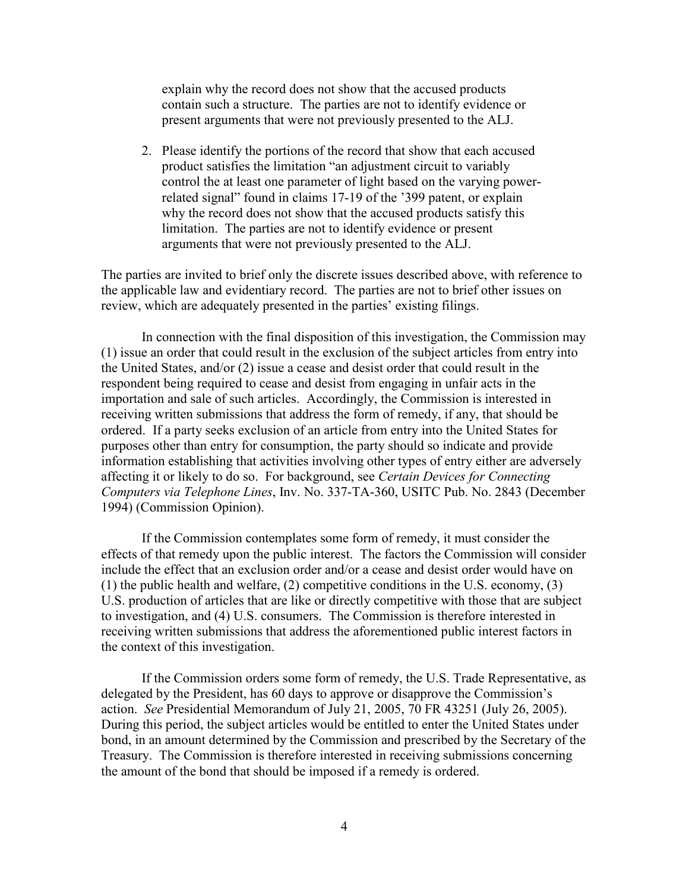explain why the record does not show that the accused products contain such a structure. The parties are not to identify evidence or present arguments that were not previously presented to the ALJ.

2. Please identify the portions of the record that show that each accused product satisfies the limitation "an adjustment circuit to variably control the at least one parameter of light based on the varying powerrelated signal" found in claims 17-19 of the '399 patent, or explain why the record does not show that the accused products satisfy this limitation. The parties are not to identify evidence or present arguments that were not previously presented to the ALJ.

The parties are invited to brief only the discrete issues described above, with reference to the applicable law and evidentiary record. The parties are not to brief other issues on review, which are adequately presented in the parties' existing filings.

In connection with the final disposition of this investigation, the Commission may (1) issue an order that could result in the exclusion of the subject articles from entry into the United States, and/or (2) issue a cease and desist order that could result in the respondent being required to cease and desist from engaging in unfair acts in the importation and sale of such articles. Accordingly, the Commission is interested in receiving written submissions that address the form of remedy, if any, that should be ordered. If a party seeks exclusion of an article from entry into the United States for purposes other than entry for consumption, the party should so indicate and provide information establishing that activities involving other types of entry either are adversely affecting it or likely to do so. For background, see *Certain Devices for Connecting Computers via Telephone Lines*, Inv. No. 337-TA-360, USITC Pub. No. 2843 (December 1994) (Commission Opinion).

If the Commission contemplates some form of remedy, it must consider the effects of that remedy upon the public interest. The factors the Commission will consider include the effect that an exclusion order and/or a cease and desist order would have on (1) the public health and welfare, (2) competitive conditions in the U.S. economy, (3) U.S. production of articles that are like or directly competitive with those that are subject to investigation, and (4) U.S. consumers. The Commission is therefore interested in receiving written submissions that address the aforementioned public interest factors in the context of this investigation.

If the Commission orders some form of remedy, the U.S. Trade Representative, as delegated by the President, has 60 days to approve or disapprove the Commission's action. *See* Presidential Memorandum of July 21, 2005, 70 FR 43251 (July 26, 2005). During this period, the subject articles would be entitled to enter the United States under bond, in an amount determined by the Commission and prescribed by the Secretary of the Treasury. The Commission is therefore interested in receiving submissions concerning the amount of the bond that should be imposed if a remedy is ordered.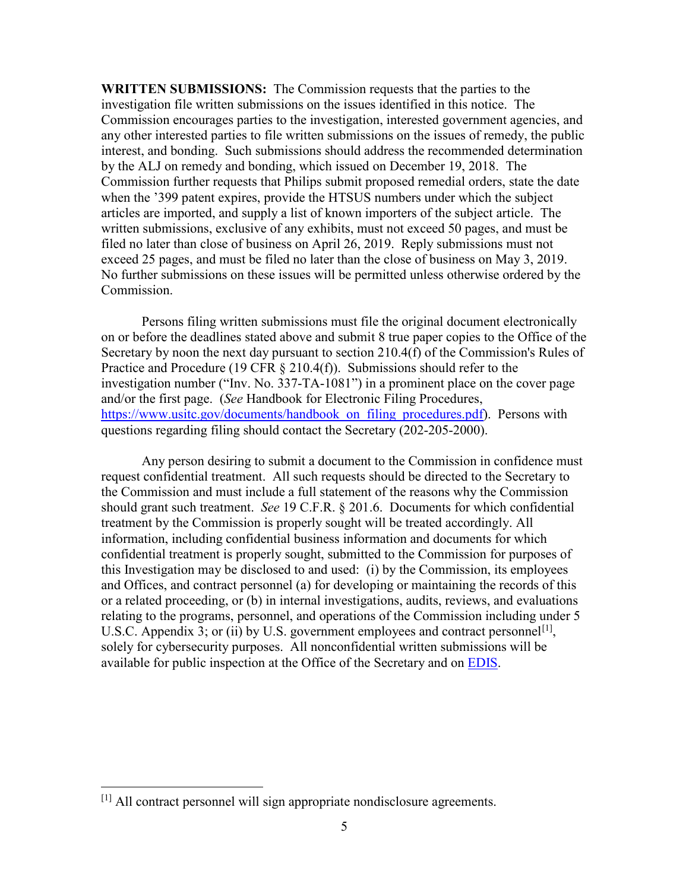**WRITTEN SUBMISSIONS:** The Commission requests that the parties to the investigation file written submissions on the issues identified in this notice. The Commission encourages parties to the investigation, interested government agencies, and any other interested parties to file written submissions on the issues of remedy, the public interest, and bonding. Such submissions should address the recommended determination by the ALJ on remedy and bonding, which issued on December 19, 2018. The Commission further requests that Philips submit proposed remedial orders, state the date when the '399 patent expires, provide the HTSUS numbers under which the subject articles are imported, and supply a list of known importers of the subject article. The written submissions, exclusive of any exhibits, must not exceed 50 pages, and must be filed no later than close of business on April 26, 2019. Reply submissions must not exceed 25 pages, and must be filed no later than the close of business on May 3, 2019. No further submissions on these issues will be permitted unless otherwise ordered by the Commission.

Persons filing written submissions must file the original document electronically on or before the deadlines stated above and submit 8 true paper copies to the Office of the Secretary by noon the next day pursuant to section 210.4(f) of the Commission's Rules of Practice and Procedure (19 CFR  $\S$  210.4(f)). Submissions should refer to the investigation number ("Inv. No. 337-TA-1081") in a prominent place on the cover page and/or the first page. (*See* Handbook for Electronic Filing Procedures, [https://www.usitc.gov/documents/handbook\\_on\\_filing\\_procedures.pdf\)](https://www.usitc.gov/documents/handbook_on_filing_procedures.pdf). Persons with questions regarding filing should contact the Secretary (202-205-2000).

Any person desiring to submit a document to the Commission in confidence must request confidential treatment. All such requests should be directed to the Secretary to the Commission and must include a full statement of the reasons why the Commission should grant such treatment. *See* 19 C.F.R. § 201.6. Documents for which confidential treatment by the Commission is properly sought will be treated accordingly. All information, including confidential business information and documents for which confidential treatment is properly sought, submitted to the Commission for purposes of this Investigation may be disclosed to and used: (i) by the Commission, its employees and Offices, and contract personnel (a) for developing or maintaining the records of this or a related proceeding, or (b) in internal investigations, audits, reviews, and evaluations relating to the programs, personnel, and operations of the Commission including under 5 U.S.C. Appendix 3; or (ii) by U.S. government employees and contract personnel<sup>[\[1\]](#page-4-0)</sup>, solely for cybersecurity purposes. All nonconfidential written submissions will be available for public inspection at the Office of the Secretary and on [EDIS.](http://edis.usitc.gov/)

<span id="page-4-0"></span> <sup>[1]</sup> All contract personnel will sign appropriate nondisclosure agreements.